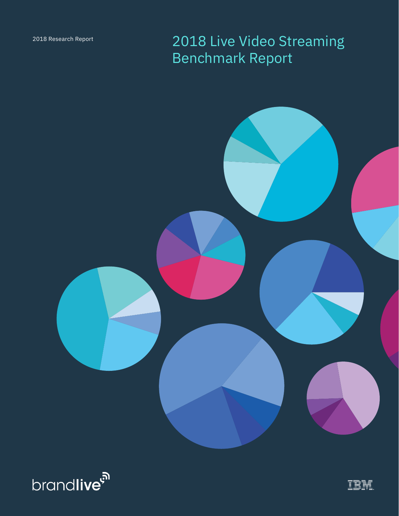2018 Live Video Streaming Benchmark Report





IBM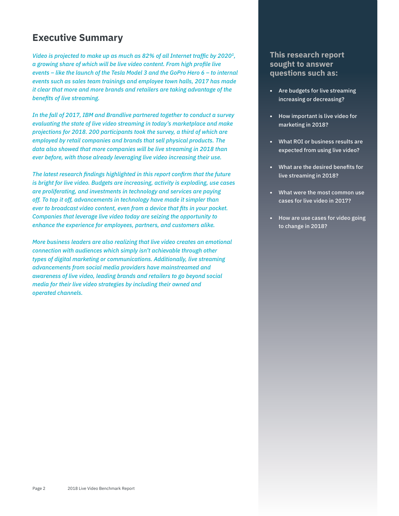## **Executive Summary**

*Video is projected to make up as much as 82% of all Internet traffic by [2020](#page-8-0)<sup>1</sup>, a growing share of which will be live video content. From high profile live events – like the launch of the Tesla Model 3 and the GoPro Hero 6 – to internal events such as sales team trainings and employee town halls, 2017 has made it clear that more and more brands and retailers are taking advantage of the benefits of live streaming.* 

*In the fall of 2017, IBM and Brandlive partnered together to conduct a survey evaluating the state of live video streaming in today's marketplace and make projections for 2018. 200 participants took the survey, a third of which are employed by retail companies and brands that sell physical products. The data also showed that more companies will be live streaming in 2018 than ever before, with those already leveraging live video increasing their use.* 

*The latest research findings highlighted in this report confirm that the future is bright for live video. Budgets are increasing, activity is exploding, use cases are proliferating, and investments in technology and services are paying off. To top it off, advancements in technology have made it simpler than ever to broadcast video content, even from a device that fits in your pocket. Companies that leverage live video today are seizing the opportunity to enhance the experience for employees, partners, and customers alike.*

*More business leaders are also realizing that live video creates an emotional connection with audiences which simply isn't achievable through other types of digital marketing or communications. Additionally, live streaming advancements from social media providers have mainstreamed and awareness of live video, leading brands and retailers to go beyond social media for their live video strategies by including their owned and operated channels.* 

### **This research report sought to answer questions such as:**

- **•** Are budgets for live streaming increasing or decreasing?
- **•** How important is live video for marketing in 2018?
- **•** What ROI or business results are expected from using live video?
- **•** What are the desired benefits for live streaming in 2018?
- **•** What were the most common use cases for live video in 2017?
- **•** How are use cases for video going to change in 2018?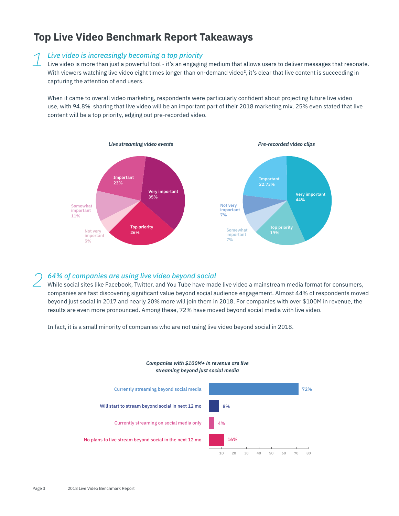# **Top Live Video Benchmark Report Takeaways**

## *Live video is increasingly becoming a top priority 1*

Live video is more than just a powerful tool - it's an engaging medium that allows users to deliver messages that resonate. With viewers watching live [video](#page-8-0) eight times longer than on-demand video<sup>2</sup>, it's clear that live content is succeeding in capturing the attention of end users.

When it came to overall video marketing, respondents were particularly confident about projecting future live video use, with 94.8% sharing that live video will be an important part of their 2018 marketing mix. 25% even stated that live content will be a top priority, edging out pre-recorded video.



## *64% of companies are using live video beyond social 2*

While social sites like Facebook, Twitter, and You Tube have made live video a mainstream media format for consumers, companies are fast discovering significant value beyond social audience engagement. Almost 44% of respondents moved beyond just social in 2017 and nearly 20% more will join them in 2018. For companies with over \$100M in revenue, the results are even more pronounced. Among these, 72% have moved beyond social media with live video.

In fact, it is a small minority of companies who are not using live video beyond social in 2018.

### *Companies with \$100M+ in revenue are live streaming beyond just social media*

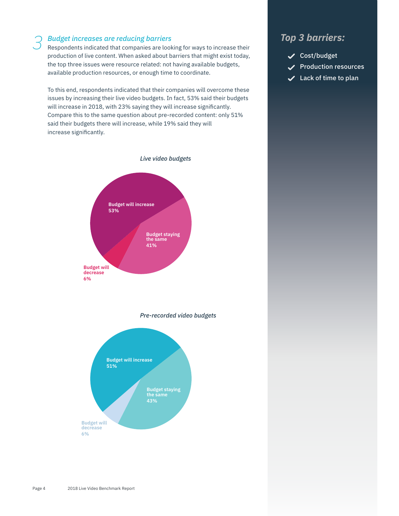### *Budget increases are reducing barriers*

Respondents indicated that companies are looking for ways to increase their *3 Top 3 barriers:* production of live content. When asked about barriers that might exist today, the top three issues were resource related: not having available budgets, available production resources, or enough time to coordinate.

To this end, respondents indicated that their companies will overcome these issues by increasing their live video budgets. In fact, 53% said their budgets will increase in 2018, with 23% saying they will increase significantly. Compare this to the same question about pre-recorded content: only 51% said their budgets there will increase, while 19% said they will increase significantly.



*Pre-recorded video budgets*



- Cost/budget
	- Production resources
- $\checkmark$  Lack of time to plan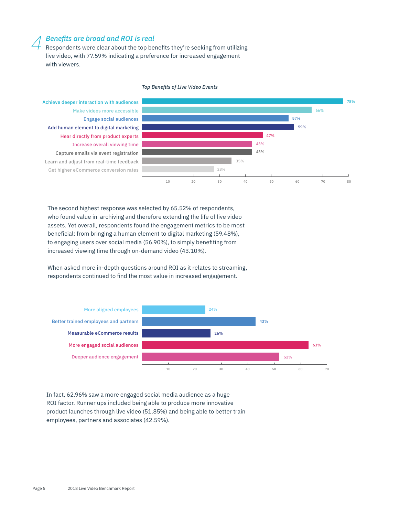## *Benefits are broad and ROI is real 4*

Respondents were clear about the top benefits they're seeking from utilizing live video, with 77.59% indicating a preference for increased engagement with viewers.

### 10 20 30 40 50 78% 66% 57% 59% 47% 43% 43% 35% 28% 60 70 80 Get higher eCommerce conversion rates Learn and adjust from real-time feedback Capture emails via event registration Increase overall viewing time Hear directly from product experts Add human element to digital marketing Engage social audiences Make videos more accessible Achieve deeper interaction with audiences

### *Top Benefits of Live Video Events*

The second highest response was selected by 65.52% of respondents, who found value in archiving and therefore extending the life of live video assets. Yet overall, respondents found the engagement metrics to be most beneficial: from bringing a human element to digital marketing (59.48%), to engaging users over social media (56.90%), to simply benefiting from increased viewing time through on-demand video (43.10%).

When asked more in-depth questions around ROI as it relates to streaming, respondents continued to find the most value in increased engagement.



In fact, 62.96% saw a more engaged social media audience as a huge ROI factor. Runner ups included being able to produce more innovative product launches through live video (51.85%) and being able to better train employees, partners and associates (42.59%).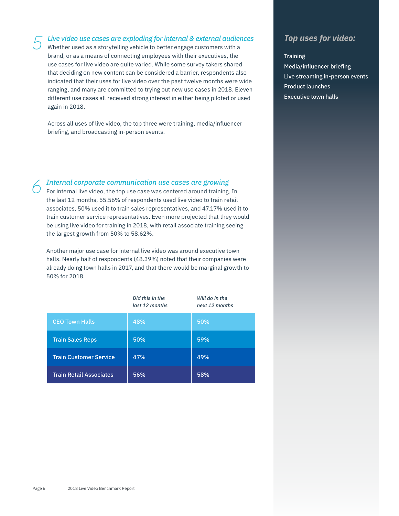*Live video use cases are exploding for internal & external audiences 5 Top uses for video:* Whether used as a storytelling vehicle to better engage customers with a brand, or as a means of connecting employees with their executives, the use cases for live video are quite varied. While some survey takers shared that deciding on new content can be considered a barrier, respondents also indicated that their uses for live video over the past twelve months were wide ranging, and many are committed to trying out new use cases in 2018. Eleven different use cases all received strong interest in either being piloted or used again in 2018.

Across all uses of live video, the top three were training, media/influencer briefing, and broadcasting in-person events.

## *Internal corporate communication use cases are growing 6*

For internal live video, the top use case was centered around training. In the last 12 months, 55.56% of respondents used live video to train retail associates, 50% used it to train sales representatives, and 47.17% used it to train customer service representatives. Even more projected that they would be using live video for training in 2018, with retail associate training seeing the largest growth from 50% to 58.62%.

Another major use case for internal live video was around executive town halls. Nearly half of respondents (48.39%) noted that their companies were already doing town halls in 2017, and that there would be marginal growth to 50% for 2018.

|                                | Did this in the<br>last 12 months | Will do in the<br>next 12 months |
|--------------------------------|-----------------------------------|----------------------------------|
| <b>CEO Town Halls</b>          | 48%                               | 50%                              |
| <b>Train Sales Reps</b>        | 50%                               | 59%                              |
| <b>Train Customer Service</b>  | 47%                               | 49%                              |
| <b>Train Retail Associates</b> | 56%                               | 58%                              |

### **Training**

Media/influencer briefing Live streaming in-person events Product launches Executive town halls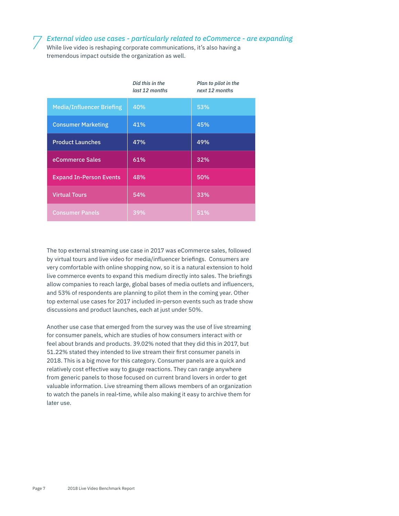*External video use cases - particularly related to eCommerce - are expanding 7*

While live video is reshaping corporate communications, it's also having a tremendous impact outside the organization as well.

|                                  | Did this in the<br>last 12 months | Plan to pilot in the<br>next 12 months |
|----------------------------------|-----------------------------------|----------------------------------------|
| <b>Media/Influencer Briefing</b> | 40%                               | 53%                                    |
| <b>Consumer Marketing</b>        | 41%                               | 45%                                    |
| <b>Product Launches</b>          | 47%                               | 49%                                    |
| eCommerce Sales                  | 61%                               | 32%                                    |
| <b>Expand In-Person Events</b>   | 48%                               | 50%                                    |
| <b>Virtual Tours</b>             | 54%                               | 33%                                    |
| <b>Consumer Panels</b>           | 39%                               | 51%                                    |

The top external streaming use case in 2017 was eCommerce sales, followed by virtual tours and live video for media/influencer briefings. Consumers are very comfortable with online shopping now, so it is a natural extension to hold live commerce events to expand this medium directly into sales. The briefings allow companies to reach large, global bases of media outlets and influencers, and 53% of respondents are planning to pilot them in the coming year. Other top external use cases for 2017 included in-person events such as trade show discussions and product launches, each at just under 50%.

Another use case that emerged from the survey was the use of live streaming for consumer panels, which are studies of how consumers interact with or feel about brands and products. 39.02% noted that they did this in 2017, but 51.22% stated they intended to live stream their first consumer panels in 2018. This is a big move for this category. Consumer panels are a quick and relatively cost effective way to gauge reactions. They can range anywhere from generic panels to those focused on current brand lovers in order to get valuable information. Live streaming them allows members of an organization to watch the panels in real-time, while also making it easy to archive them for later use.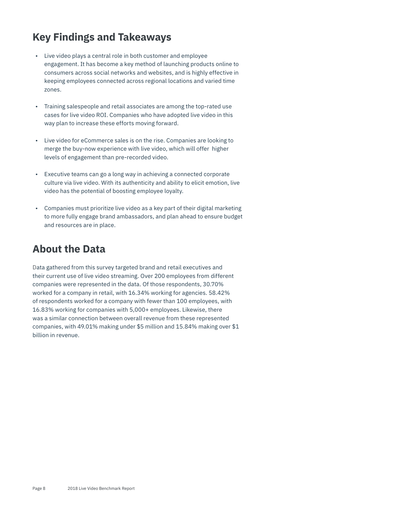# **Key Findings and Takeaways**

- Live video plays a central role in both customer and employee engagement. It has become a key method of launching products online to consumers across social networks and websites, and is highly effective in keeping employees connected across regional locations and varied time zones.
- Training salespeople and retail associates are among the top-rated use cases for live video ROI. Companies who have adopted live video in this way plan to increase these efforts moving forward.
- Live video for eCommerce sales is on the rise. Companies are looking to merge the buy-now experience with live video, which will offer higher levels of engagement than pre-recorded video.
- Executive teams can go a long way in achieving a connected corporate culture via live video. With its authenticity and ability to elicit emotion, live video has the potential of boosting employee loyalty.
- Companies must prioritize live video as a key part of their digital marketing to more fully engage brand ambassadors, and plan ahead to ensure budget and resources are in place.

# **About the Data**

Data gathered from this survey targeted brand and retail executives and their current use of live video streaming. Over 200 employees from different companies were represented in the data. Of those respondents, 30.70% worked for a company in retail, with 16.34% working for agencies. 58.42% of respondents worked for a company with fewer than 100 employees, with 16.83% working for companies with 5,000+ employees. Likewise, there was a similar connection between overall revenue from these represented companies, with 49.01% making under \$5 million and 15.84% making over \$1 billion in revenue.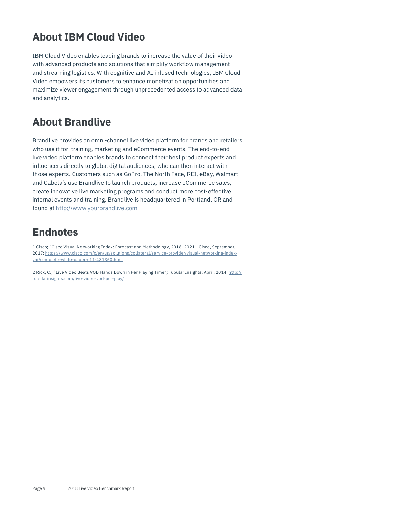# <span id="page-8-0"></span>**About IBM Cloud Video**

IBM Cloud Video enables leading brands to increase the value of their video with advanced products and solutions that simplify workflow management and streaming logistics. With cognitive and AI infused technologies, IBM Cloud Video empowers its customers to enhance monetization opportunities and maximize viewer engagement through unprecedented access to advanced data and analytics.

# **About Brandlive**

Brandlive provides an omni-channel live video platform for brands and retailers who use it for training, marketing and eCommerce events. The end-to-end live video platform enables brands to connect their best product experts and influencers directly to global digital audiences, who can then interact with those experts. Customers such as GoPro, The North Face, REI, eBay, Walmart and Cabela's use Brandlive to launch products, increase eCommerce sales, create innovative live marketing programs and conduct more cost-effective internal events and training. Brandlive is headquartered in Portland, OR and found at <http://www.yourbrandlive.com>

# **Endnotes**

1 Cisco; "Cisco Visual Networking Index: Forecast and Methodology, 2016–2021"; Cisco, September, 2017; [https://www.cisco.com/c/en/us/solutions/collateral/service-provider/visual-networking-index](https://www.cisco.com/c/en/us/solutions/collateral/service-provider/visual-networking-index-vni/complete-white-paper-c11-481360.html)[vni/complete-white-paper-c11-481360.html](https://www.cisco.com/c/en/us/solutions/collateral/service-provider/visual-networking-index-vni/complete-white-paper-c11-481360.html)

2 Rick, C.; "Live Video Beats VOD Hands Down in Per Playing Time"; Tubular Insights, April, 2014; [http://](http://tubularinsights.com/live-video-vod-per-play/) [tubularinsights.com/live-video-vod-per-play/](http://tubularinsights.com/live-video-vod-per-play/)